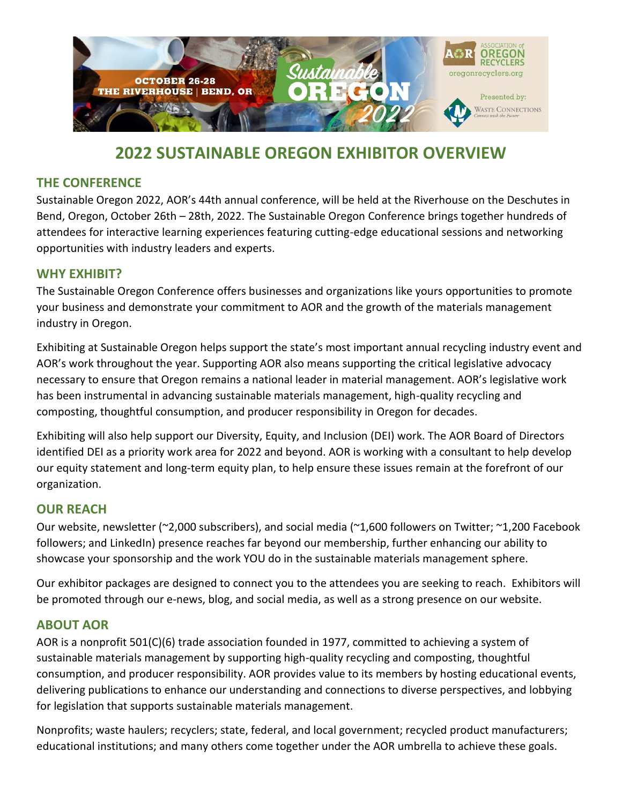

# **2022 SUSTAINABLE OREGON EXHIBITOR OVERVIEW**

## **THE CONFERENCE**

Sustainable Oregon 2022, AOR's 44th annual conference, will be held at the Riverhouse on the Deschutes in Bend, Oregon, October 26th – 28th, 2022. The Sustainable Oregon Conference brings together hundreds of attendees for interactive learning experiences featuring cutting-edge educational sessions and networking opportunities with industry leaders and experts.

#### **WHY EXHIBIT?**

The Sustainable Oregon Conference offers businesses and organizations like yours opportunities to promote your business and demonstrate your commitment to AOR and the growth of the materials management industry in Oregon.

Exhibiting at Sustainable Oregon helps support the state's most important annual recycling industry event and AOR's work throughout the year. Supporting AOR also means supporting the critical legislative advocacy necessary to ensure that Oregon remains a national leader in material management. AOR's legislative work has been instrumental in advancing sustainable materials management, high-quality recycling and composting, thoughtful consumption, and producer responsibility in Oregon for decades.

Exhibiting will also help support our Diversity, Equity, and Inclusion (DEI) work. The AOR Board of Directors identified DEI as a priority work area for 2022 and beyond. AOR is working with a consultant to help develop our equity statement and long-term equity plan, to help ensure these issues remain at the forefront of our organization.

## **OUR REACH**

Our website, newsletter (~2,000 subscribers), and social media (~1,600 followers on Twitter; ~1,200 Facebook followers; and LinkedIn) presence reaches far beyond our membership, further enhancing our ability to showcase your sponsorship and the work YOU do in the sustainable materials management sphere.

Our exhibitor packages are designed to connect you to the attendees you are seeking to reach. Exhibitors will be promoted through our e-news, blog, and social media, as well as a strong presence on our website.

#### **ABOUT AOR**

AOR is a nonprofit 501(C)(6) trade association founded in 1977, committed to achieving a system of sustainable materials management by supporting high-quality recycling and composting, thoughtful consumption, and producer responsibility. AOR provides value to its members by hosting educational events, delivering publications to enhance our understanding and connections to diverse perspectives, and lobbying for legislation that supports sustainable materials management.

Nonprofits; waste haulers; recyclers; state, federal, and local government; recycled product manufacturers; educational institutions; and many others come together under the AOR umbrella to achieve these goals.